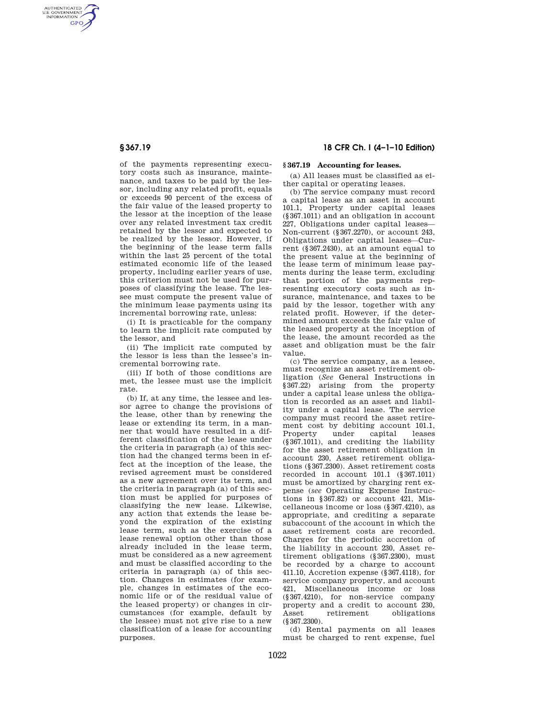AUTHENTICATED<br>U.S. GOVERNMENT<br>INFORMATION **GPO** 

> of the payments representing executory costs such as insurance, maintenance, and taxes to be paid by the lessor, including any related profit, equals or exceeds 90 percent of the excess of the fair value of the leased property to the lessor at the inception of the lease over any related investment tax credit retained by the lessor and expected to be realized by the lessor. However, if the beginning of the lease term falls within the last 25 percent of the total estimated economic life of the leased property, including earlier years of use, this criterion must not be used for purposes of classifying the lease. The lessee must compute the present value of the minimum lease payments using its incremental borrowing rate, unless:

(i) It is practicable for the company to learn the implicit rate computed by the lessor, and

(ii) The implicit rate computed by the lessor is less than the lessee's incremental borrowing rate.

(iii) If both of those conditions are met, the lessee must use the implicit rate.

(b) If, at any time, the lessee and lessor agree to change the provisions of the lease, other than by renewing the lease or extending its term, in a manner that would have resulted in a different classification of the lease under the criteria in paragraph (a) of this section had the changed terms been in effect at the inception of the lease, the revised agreement must be considered as a new agreement over its term, and the criteria in paragraph (a) of this section must be applied for purposes of classifying the new lease. Likewise, any action that extends the lease beyond the expiration of the existing lease term, such as the exercise of a lease renewal option other than those already included in the lease term, must be considered as a new agreement and must be classified according to the criteria in paragraph (a) of this section. Changes in estimates (for example, changes in estimates of the economic life or of the residual value of the leased property) or changes in circumstances (for example, default by the lessee) must not give rise to a new classification of a lease for accounting purposes.

# **§ 367.19 18 CFR Ch. I (4–1–10 Edition)**

## **§ 367.19 Accounting for leases.**

(a) All leases must be classified as either capital or operating leases.

(b) The service company must record a capital lease as an asset in account 101.1, Property under capital leases (§367.1011) and an obligation in account 227, Obligations under capital leases— Non-current (§367.2270), or account 243, Obligations under capital leases—Current (§367.2430), at an amount equal to the present value at the beginning of the lease term of minimum lease payments during the lease term, excluding that portion of the payments representing executory costs such as insurance, maintenance, and taxes to be paid by the lessor, together with any related profit. However, if the determined amount exceeds the fair value of the leased property at the inception of the lease, the amount recorded as the asset and obligation must be the fair value.

(c) The service company, as a lessee, must recognize an asset retirement obligation (*See* General Instructions in §367.22) arising from the property under a capital lease unless the obligation is recorded as an asset and liability under a capital lease. The service company must record the asset retirement cost by debiting account 101.1, Property under capital leases (§367.1011), and crediting the liability for the asset retirement obligation in account 230, Asset retirement obligations (§367.2300). Asset retirement costs recorded in account 101.1 (§367.1011) must be amortized by charging rent expense (*see* Operating Expense Instructions in §367.82) or account 421, Miscellaneous income or loss (§367.4210), as appropriate, and crediting a separate subaccount of the account in which the asset retirement costs are recorded. Charges for the periodic accretion of the liability in account 230, Asset retirement obligations (§367.2300), must be recorded by a charge to account 411.10, Accretion expense (§367.4118), for service company property, and account 421, Miscellaneous income or loss (§367.4210), for non-service company property and a credit to account 230, Asset retirement obligations (§367.2300).

(d) Rental payments on all leases must be charged to rent expense, fuel